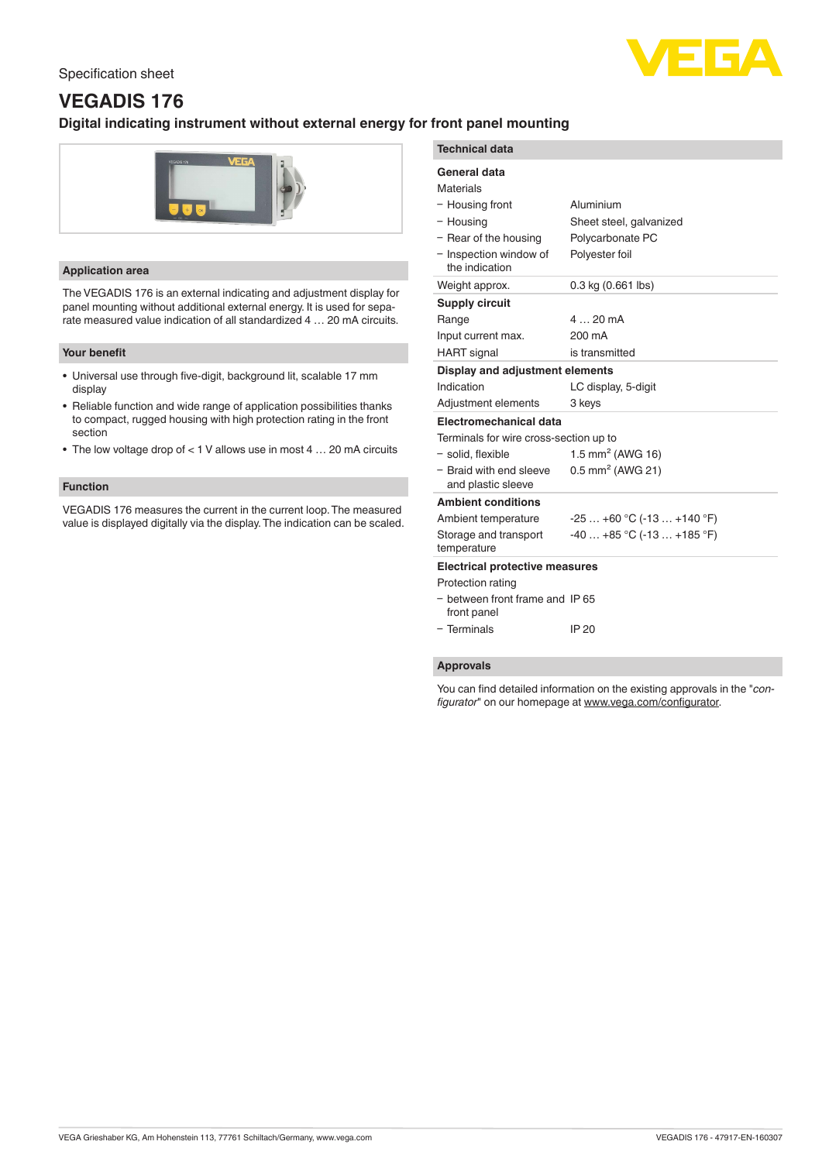### Specification sheet



# **VEGADIS 176**

## **Digital indicating instrument without external energy for front panel mounting**



#### **Application area**

The VEGADIS 176 is an external indicating and adjustment display for panel mounting without additional external energy. It is used for separate measured value indication of all standardized 4 … 20 mA circuits.

#### **Your benefit**

- Universal use through five-digit, background lit, scalable 17 mm display
- Reliable function and wide range of application possibilities thanks to compact, rugged housing with high protection rating in the front section
- The low voltage drop of < 1 V allows use in most 4 … 20 mA circuits

#### **Function**

VEGADIS 176 measures the current in the current loop. The measured value is displayed digitally via the display. The indication can be scaled.

| <b>Technical data</b>                          |                                |
|------------------------------------------------|--------------------------------|
| General data                                   |                                |
| Materials                                      |                                |
| - Housing front                                | Aluminium                      |
| - Housing                                      | Sheet steel, galvanized        |
| - Rear of the housing                          | Polycarbonate PC               |
| - Inspection window of<br>the indication       | Polyester foil                 |
| Weight approx.                                 | 0.3 kg (0.661 lbs)             |
| <b>Supply circuit</b>                          |                                |
| Range                                          | $420 \text{ mA}$               |
| Input current max.                             | 200 mA                         |
| <b>HART</b> signal                             | is transmitted                 |
| Display and adjustment elements                |                                |
| Indication                                     | LC display, 5-digit            |
| Adjustment elements                            | 3 keys                         |
| Electromechanical data                         |                                |
| Terminals for wire cross-section up to         |                                |
| - solid, flexible                              | 1.5 mm <sup>2</sup> (AWG 16)   |
| - Braid with end sleeve<br>and plastic sleeve  | $0.5$ mm <sup>2</sup> (AWG 21) |
| <b>Ambient conditions</b>                      |                                |
| Ambient temperature                            | $-25+60$ °C (-13  +140 °F)     |
| Storage and transport<br>temperature           | $-40+85$ °C ( $-13+185$ °F)    |
| <b>Electrical protective measures</b>          |                                |
| Protection rating                              |                                |
| - between front frame and IP 65<br>front panel |                                |
| - Terminals                                    | IP 20                          |

#### **Approvals**

You can find detailed information on the existing approvals in the "*configurator*" on our homepage at [www.vega.com/configurator](http://www.vega.com/configurator).